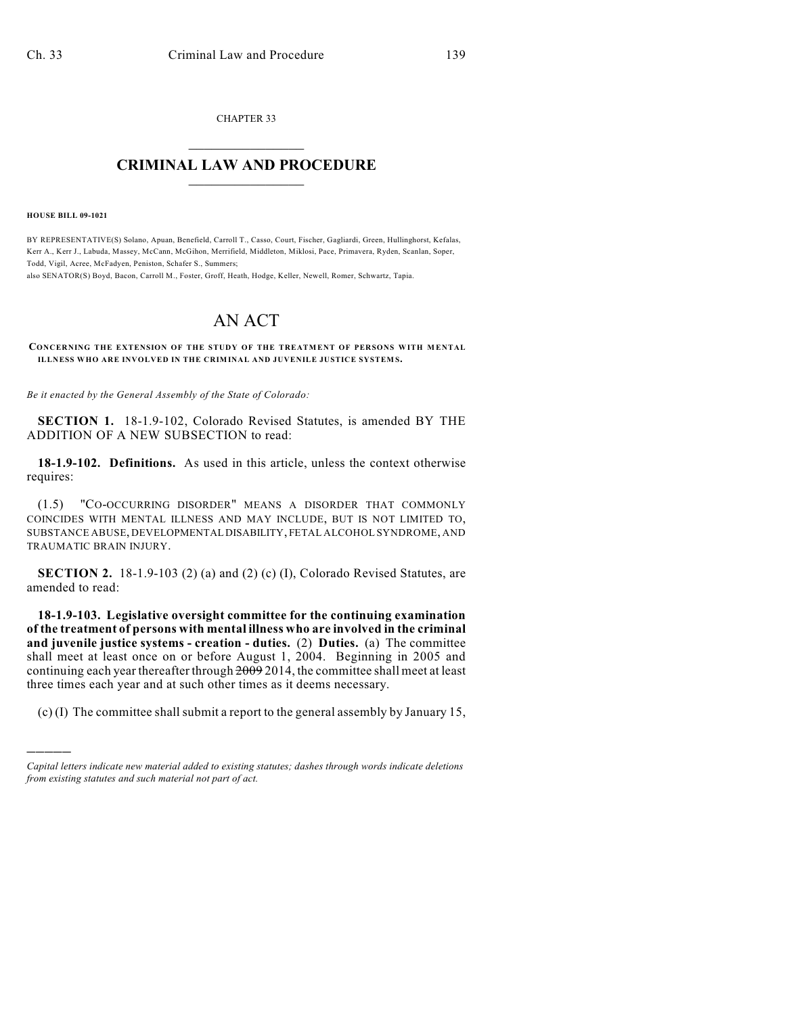CHAPTER 33  $\mathcal{L}_\text{max}$  . The set of the set of the set of the set of the set of the set of the set of the set of the set of the set of the set of the set of the set of the set of the set of the set of the set of the set of the set

## **CRIMINAL LAW AND PROCEDURE**  $\frac{1}{2}$  ,  $\frac{1}{2}$  ,  $\frac{1}{2}$  ,  $\frac{1}{2}$  ,  $\frac{1}{2}$  ,  $\frac{1}{2}$  ,  $\frac{1}{2}$

**HOUSE BILL 09-1021**

)))))

BY REPRESENTATIVE(S) Solano, Apuan, Benefield, Carroll T., Casso, Court, Fischer, Gagliardi, Green, Hullinghorst, Kefalas, Kerr A., Kerr J., Labuda, Massey, McCann, McGihon, Merrifield, Middleton, Miklosi, Pace, Primavera, Ryden, Scanlan, Soper, Todd, Vigil, Acree, McFadyen, Peniston, Schafer S., Summers;

also SENATOR(S) Boyd, Bacon, Carroll M., Foster, Groff, Heath, Hodge, Keller, Newell, Romer, Schwartz, Tapia.

## AN ACT

CONCERNING THE EXTENSION OF THE STUDY OF THE TREATMENT OF PERSONS WITH MENTAL ILLNESS WHO ARE INVOLVED IN THE CRIMINAL AND JUVENILE JUSTICE SYSTEMS.

*Be it enacted by the General Assembly of the State of Colorado:*

**SECTION 1.** 18-1.9-102, Colorado Revised Statutes, is amended BY THE ADDITION OF A NEW SUBSECTION to read:

**18-1.9-102. Definitions.** As used in this article, unless the context otherwise requires:

(1.5) "CO-OCCURRING DISORDER" MEANS A DISORDER THAT COMMONLY COINCIDES WITH MENTAL ILLNESS AND MAY INCLUDE, BUT IS NOT LIMITED TO, SUBSTANCE ABUSE, DEVELOPMENTAL DISABILITY, FETAL ALCOHOL SYNDROME, AND TRAUMATIC BRAIN INJURY.

**SECTION 2.** 18-1.9-103 (2) (a) and (2) (c) (I), Colorado Revised Statutes, are amended to read:

**18-1.9-103. Legislative oversight committee for the continuing examination of the treatment of persons with mental illness who are involved in the criminal and juvenile justice systems - creation - duties.** (2) **Duties.** (a) The committee shall meet at least once on or before August 1, 2004. Beginning in 2005 and continuing each year thereafter through 2009 2014, the committee shall meet at least three times each year and at such other times as it deems necessary.

(c) (I) The committee shall submit a report to the general assembly by January 15,

*Capital letters indicate new material added to existing statutes; dashes through words indicate deletions from existing statutes and such material not part of act.*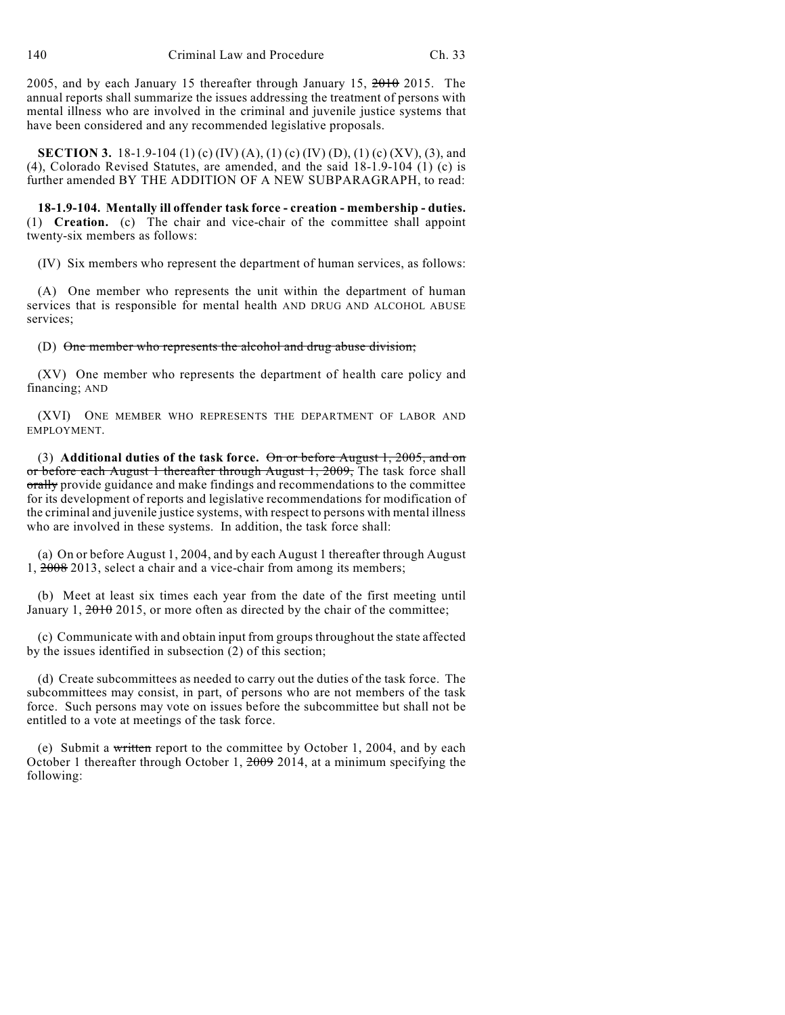2005, and by each January 15 thereafter through January 15, 2010 2015. The annual reports shall summarize the issues addressing the treatment of persons with mental illness who are involved in the criminal and juvenile justice systems that have been considered and any recommended legislative proposals.

**SECTION 3.** 18-1.9-104 (1) (c) (IV) (A), (1) (c) (IV) (D), (1) (c) (XV), (3), and (4), Colorado Revised Statutes, are amended, and the said 18-1.9-104 (1) (c) is further amended BY THE ADDITION OF A NEW SUBPARAGRAPH, to read:

**18-1.9-104. Mentally ill offender task force - creation - membership - duties.** (1) **Creation.** (c) The chair and vice-chair of the committee shall appoint twenty-six members as follows:

(IV) Six members who represent the department of human services, as follows:

(A) One member who represents the unit within the department of human services that is responsible for mental health AND DRUG AND ALCOHOL ABUSE services;

(D) One member who represents the alcohol and drug abuse division;

(XV) One member who represents the department of health care policy and financing; AND

(XVI) ONE MEMBER WHO REPRESENTS THE DEPARTMENT OF LABOR AND EMPLOYMENT.

(3) **Additional duties of the task force.** On or before August 1, 2005, and on or before each August 1 thereafter through August 1, 2009, The task force shall orally provide guidance and make findings and recommendations to the committee for its development of reports and legislative recommendations for modification of the criminal and juvenile justice systems, with respect to persons with mental illness who are involved in these systems. In addition, the task force shall:

(a) On or before August 1, 2004, and by each August 1 thereafter through August 1, 2008 2013, select a chair and a vice-chair from among its members;

(b) Meet at least six times each year from the date of the first meeting until January 1,  $\frac{2010}{2015}$ , or more often as directed by the chair of the committee;

(c) Communicate with and obtain input from groups throughout the state affected by the issues identified in subsection  $(2)$  of this section;

(d) Create subcommittees as needed to carry out the duties of the task force. The subcommittees may consist, in part, of persons who are not members of the task force. Such persons may vote on issues before the subcommittee but shall not be entitled to a vote at meetings of the task force.

(e) Submit a written report to the committee by October 1, 2004, and by each October 1 thereafter through October 1, 2009 2014, at a minimum specifying the following: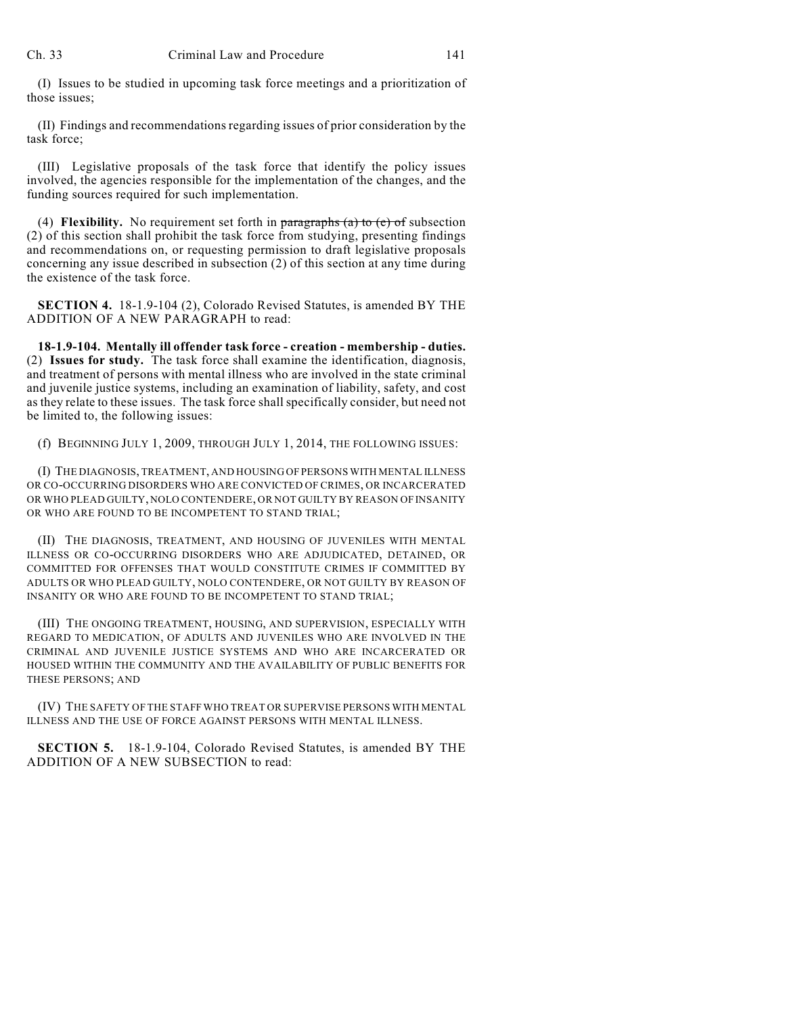(I) Issues to be studied in upcoming task force meetings and a prioritization of those issues;

(II) Findings and recommendations regarding issues of prior consideration by the task force;

(III) Legislative proposals of the task force that identify the policy issues involved, the agencies responsible for the implementation of the changes, and the funding sources required for such implementation.

(4) **Flexibility.** No requirement set forth in  $\frac{\partial}{\partial x}$  and  $\frac{\partial}{\partial y}$  to (e) of subsection (2) of this section shall prohibit the task force from studying, presenting findings and recommendations on, or requesting permission to draft legislative proposals concerning any issue described in subsection (2) of this section at any time during the existence of the task force.

**SECTION 4.** 18-1.9-104 (2), Colorado Revised Statutes, is amended BY THE ADDITION OF A NEW PARAGRAPH to read:

**18-1.9-104. Mentally ill offender task force - creation - membership - duties.** (2) **Issues for study.** The task force shall examine the identification, diagnosis, and treatment of persons with mental illness who are involved in the state criminal and juvenile justice systems, including an examination of liability, safety, and cost as they relate to these issues. The task force shall specifically consider, but need not be limited to, the following issues:

(f) BEGINNING JULY 1, 2009, THROUGH JULY 1, 2014, THE FOLLOWING ISSUES:

(I) THE DIAGNOSIS, TREATMENT, AND HOUSING OF PERSONS WITH MENTAL ILLNESS OR CO-OCCURRING DISORDERS WHO ARE CONVICTED OF CRIMES, OR INCARCERATED OR WHO PLEAD GUILTY, NOLO CONTENDERE, OR NOT GUILTY BY REASON OF INSANITY OR WHO ARE FOUND TO BE INCOMPETENT TO STAND TRIAL;

(II) THE DIAGNOSIS, TREATMENT, AND HOUSING OF JUVENILES WITH MENTAL ILLNESS OR CO-OCCURRING DISORDERS WHO ARE ADJUDICATED, DETAINED, OR COMMITTED FOR OFFENSES THAT WOULD CONSTITUTE CRIMES IF COMMITTED BY ADULTS OR WHO PLEAD GUILTY, NOLO CONTENDERE, OR NOT GUILTY BY REASON OF INSANITY OR WHO ARE FOUND TO BE INCOMPETENT TO STAND TRIAL;

(III) THE ONGOING TREATMENT, HOUSING, AND SUPERVISION, ESPECIALLY WITH REGARD TO MEDICATION, OF ADULTS AND JUVENILES WHO ARE INVOLVED IN THE CRIMINAL AND JUVENILE JUSTICE SYSTEMS AND WHO ARE INCARCERATED OR HOUSED WITHIN THE COMMUNITY AND THE AVAILABILITY OF PUBLIC BENEFITS FOR THESE PERSONS; AND

(IV) THE SAFETY OF THE STAFF WHO TREAT OR SUPERVISE PERSONS WITH MENTAL ILLNESS AND THE USE OF FORCE AGAINST PERSONS WITH MENTAL ILLNESS.

**SECTION 5.** 18-1.9-104, Colorado Revised Statutes, is amended BY THE ADDITION OF A NEW SUBSECTION to read: